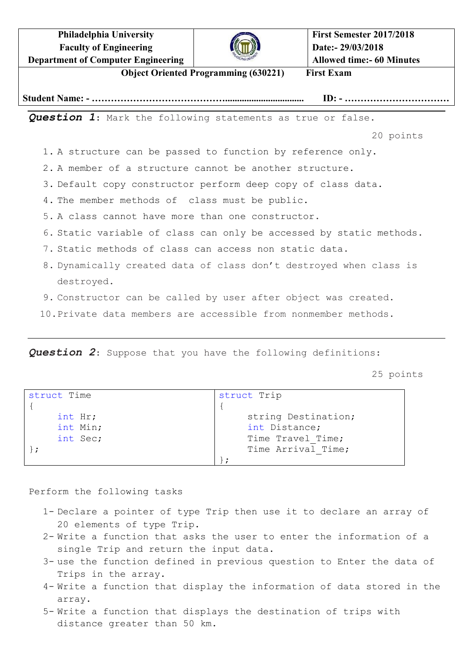**Philadelphia University Faculty of Engineering Department of Computer Engineering**



**First Semester 2017/2018 Date:- 29/03/2018 Allowed time:- 60 Minutes**

**Object Oriented Programming (630221) First Exam**

**Student Name: - ……………………………………................................. ID: - ……………………………**

*Question 1*: Mark the following statements as true or false.

20 points

1. A structure can be passed to function by reference only.

2. A member of a structure cannot be another structure.

3. Default copy constructor perform deep copy of class data.

4. The member methods of class must be public.

5. A class cannot have more than one constructor.

- 6. Static variable of class can only be accessed by static methods.
- 7. Static methods of class can access non static data.
- 8. Dynamically created data of class don't destroyed when class is destroyed.
- 9. Constructor can be called by user after object was created.
- 10.Private data members are accessible from nonmember methods.

*Question 2*: Suppose that you have the following definitions:

25 points

| struct Time | struct Trip         |
|-------------|---------------------|
|             |                     |
| int Hr;     | string Destination; |
| int Min;    | int Distance;       |
| int Sec;    | Time Travel Time;   |
|             | Time Arrival Time;  |
|             |                     |

Perform the following tasks

- 1- Declare a pointer of type Trip then use it to declare an array of 20 elements of type Trip.
- 2- Write a function that asks the user to enter the information of a single Trip and return the input data.
- 3- use the function defined in previous question to Enter the data of Trips in the array.
- 4- Write a function that display the information of data stored in the array.
- 5- Write a function that displays the destination of trips with distance greater than 50 km.